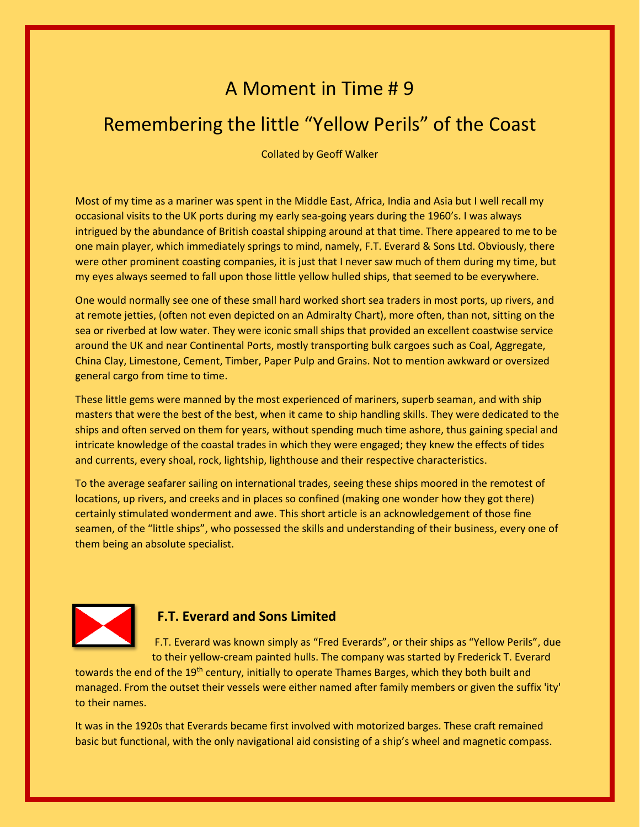## A Moment in Time # 9

## Remembering the little "Yellow Perils" of the Coast

Collated by Geoff Walker

Most of my time as a mariner was spent in the Middle East, Africa, India and Asia but I well recall my occasional visits to the UK ports during my early sea-going years during the 1960's. I was always intrigued by the abundance of British coastal shipping around at that time. There appeared to me to be one main player, which immediately springs to mind, namely, F.T. Everard & Sons Ltd. Obviously, there were other prominent coasting companies, it is just that I never saw much of them during my time, but my eyes always seemed to fall upon those little yellow hulled ships, that seemed to be everywhere.

One would normally see one of these small hard worked short sea traders in most ports, up rivers, and at remote jetties, (often not even depicted on an Admiralty Chart), more often, than not, sitting on the sea or riverbed at low water. They were iconic small ships that provided an excellent coastwise service around the UK and near Continental Ports, mostly transporting bulk cargoes such as Coal, Aggregate, China Clay, Limestone, Cement, Timber, Paper Pulp and Grains. Not to mention awkward or oversized general cargo from time to time.

These little gems were manned by the most experienced of mariners, superb seaman, and with ship masters that were the best of the best, when it came to ship handling skills. They were dedicated to the ships and often served on them for years, without spending much time ashore, thus gaining special and intricate knowledge of the coastal trades in which they were engaged; they knew the effects of tides and currents, every shoal, rock, lightship, lighthouse and their respective characteristics.

To the average seafarer sailing on international trades, seeing these ships moored in the remotest of locations, up rivers, and creeks and in places so confined (making one wonder how they got there) certainly stimulated wonderment and awe. This short article is an acknowledgement of those fine seamen, of the "little ships", who possessed the skills and understanding of their business, every one of them being an absolute specialist.



## **F.T. Everard and Sons Limited**

F.T. Everard was known simply as "Fred Everards", or their ships as "Yellow Perils", due to their yellow-cream painted hulls. The company was started by Frederick T. Everard

towards the end of the 19<sup>th</sup> century, initially to operate Thames Barges, which they both built and managed. From the outset their vessels were either named after family members or given the suffix 'ity' to their names.

It was in the 1920s that Everards became first involved with motorized barges. These craft remained basic but functional, with the only navigational aid consisting of a ship's wheel and magnetic compass.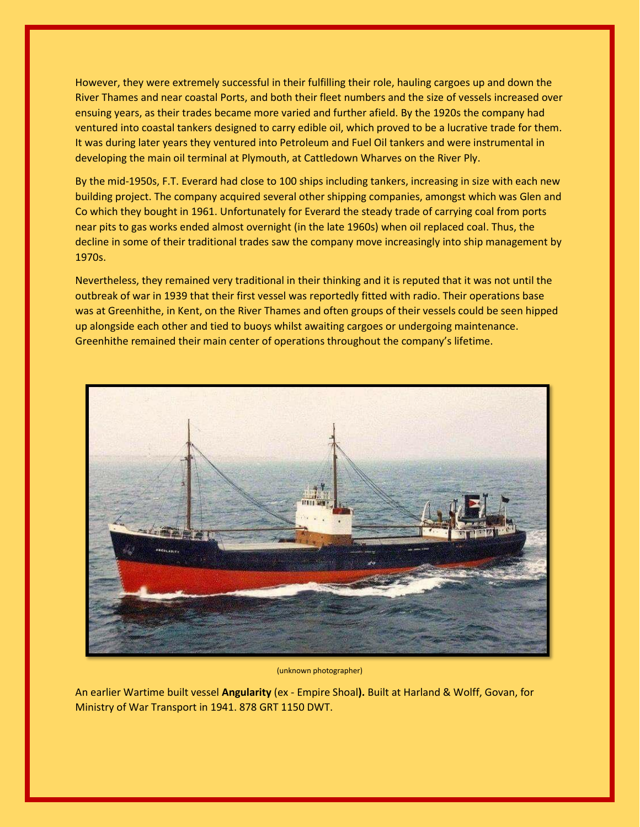However, they were extremely successful in their fulfilling their role, hauling cargoes up and down the River Thames and near coastal Ports, and both their fleet numbers and the size of vessels increased over ensuing years, as their trades became more varied and further afield. By the 1920s the company had ventured into coastal tankers designed to carry edible oil, which proved to be a lucrative trade for them. It was during later years they ventured into Petroleum and Fuel Oil tankers and were instrumental in developing the main oil terminal at Plymouth, at Cattledown Wharves on the River Ply.

By the mid-1950s, F.T. Everard had close to 100 ships including tankers, increasing in size with each new building project. The company acquired several other shipping companies, amongst which was Glen and Co which they bought in 1961. Unfortunately for Everard the steady trade of carrying coal from ports near pits to gas works ended almost overnight (in the late 1960s) when oil replaced coal. Thus, the decline in some of their traditional trades saw the company move increasingly into ship management by 1970s.

Nevertheless, they remained very traditional in their thinking and it is reputed that it was not until the outbreak of war in 1939 that their first vessel was reportedly fitted with radio. Their operations base was at Greenhithe, in Kent, on the River Thames and often groups of their vessels could be seen hipped up alongside each other and tied to buoys whilst awaiting cargoes or undergoing maintenance. Greenhithe remained their main center of operations throughout the company's lifetime.



(unknown photographer)

An earlier Wartime built vessel **Angularity** (ex - Empire Shoal**).** Built at Harland & Wolff, Govan, for Ministry of War Transport in 1941. 878 GRT 1150 DWT.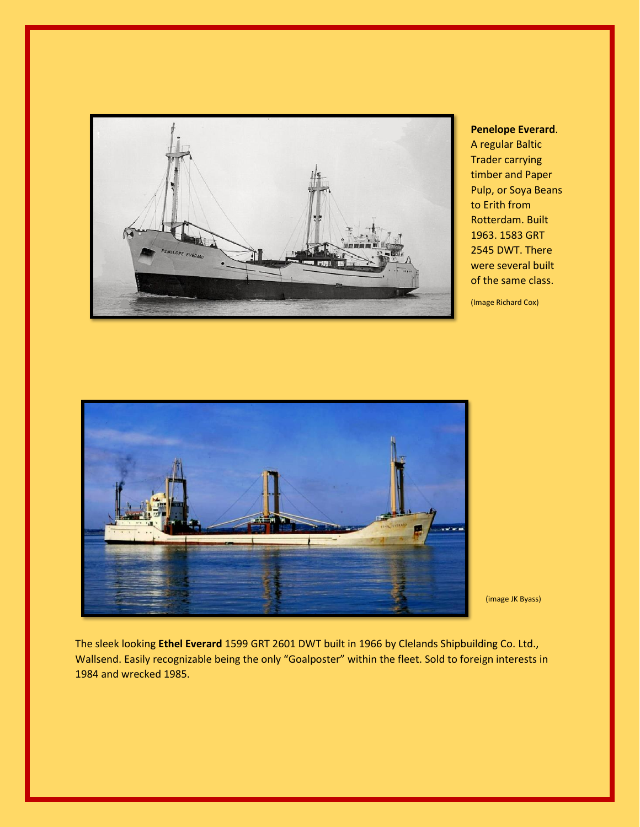

**Penelope Everard**. A regular Baltic Trader carrying timber and Paper Pulp, or Soya Beans to Erith from Rotterdam. Built 1963. 1583 GRT 2545 DWT. There were several built of the same class.

(Image Richard Cox)



(image JK Byass)

The sleek looking **Ethel Everard** 1599 GRT 2601 DWT built in 1966 by Clelands Shipbuilding Co. Ltd., Wallsend. Easily recognizable being the only "Goalposter" within the fleet. Sold to foreign interests in 1984 and wrecked 1985.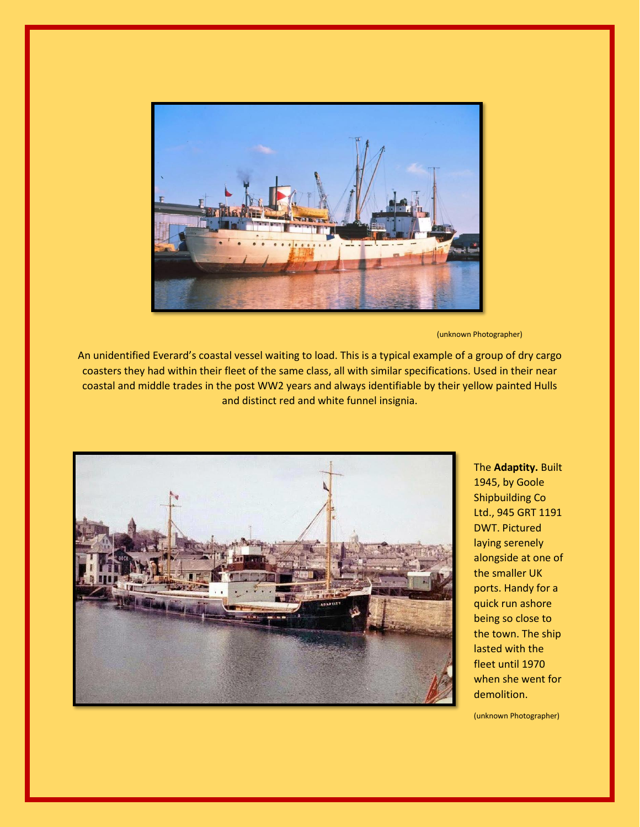

(unknown Photographer)

An unidentified Everard's coastal vessel waiting to load. This is a typical example of a group of dry cargo coasters they had within their fleet of the same class, all with similar specifications. Used in their near coastal and middle trades in the post WW2 years and always identifiable by their yellow painted Hulls and distinct red and white funnel insignia.



The **Adaptity.** Built 1945, by Goole Shipbuilding Co Ltd., 945 GRT 1191 DWT. Pictured laying serenely alongside at one of the smaller UK ports. Handy for a quick run ashore being so close to the town. The ship lasted with the fleet until 1970 when she went for demolition.

(unknown Photographer)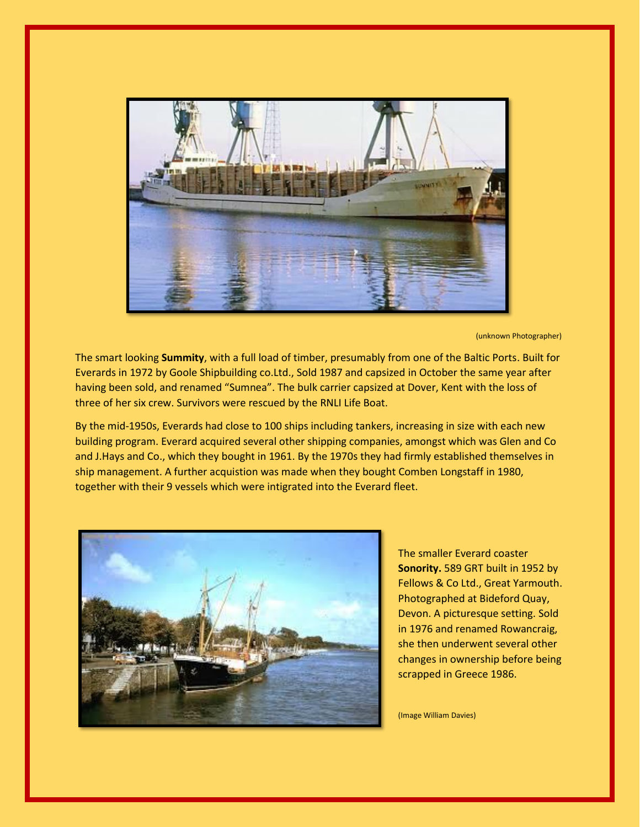

(unknown Photographer)

The smart looking **Summity**, with a full load of timber, presumably from one of the Baltic Ports. Built for Everards in 1972 by Goole Shipbuilding co.Ltd., Sold 1987 and capsized in October the same year after having been sold, and renamed "Sumnea". The bulk carrier capsized at Dover, Kent with the loss of three of her six crew. Survivors were rescued by the RNLI Life Boat.

By the mid-1950s, Everards had close to 100 ships including tankers, increasing in size with each new building program. Everard acquired several other shipping companies, amongst which was Glen and Co and J.Hays and Co., which they bought in 1961. By the 1970s they had firmly established themselves in ship management. A further acquistion was made when they bought Comben Longstaff in 1980, together with their 9 vessels which were intigrated into the Everard fleet.



The smaller Everard coaster **Sonority.** 589 GRT built in 1952 by Fellows & Co Ltd., Great Yarmouth. Photographed at Bideford Quay, Devon. A picturesque setting. Sold in 1976 and renamed Rowancraig, she then underwent several other changes in ownership before being scrapped in Greece 1986.

(Image William Davies)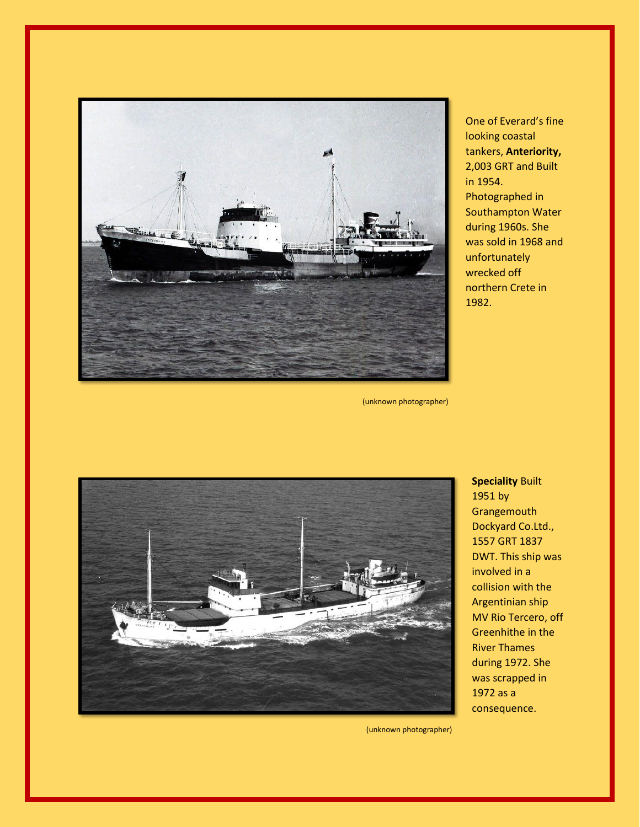

One of Everard's fine looking coastal tankers, **Anteriority,**  2,003 GRT and Built in 1954. Photographed in Southampton Water during 1960s. She was sold in 1968 and unfortunately wrecked off northern Crete in 1982.

(unknown photographer)



**Speciality** Built 1951 by **Grangemouth** Dockyard Co.Ltd., 1557 GRT 1837 DWT. This ship was involved in a collision with the Argentinian ship MV Rio Tercero, off Greenhithe in the River Thames during 1972. She was scrapped in 1972 as a consequence.

(unknown photographer)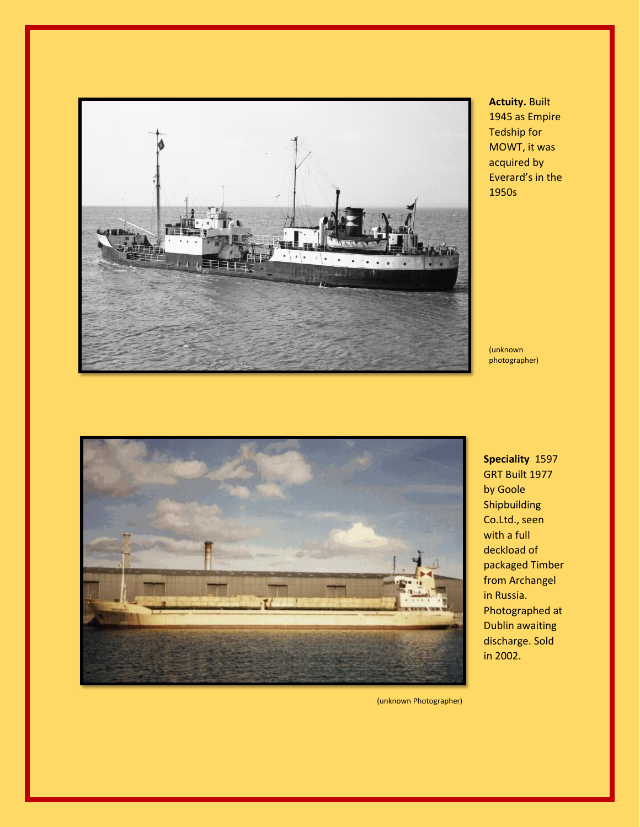

**Actuity.** Built 1945 as Empire Tedship for MOWT, it was acquired by Everard's in the 1950s

(unknown photographer)



**Speciality** 1597 GRT Built 1977 by Goole Shipbuilding Co.Ltd., seen with a full deckload of packaged Timber from Archangel in Russia. Photographed at Dublin awaiting discharge. Sold in 2002.

(unknown Photographer)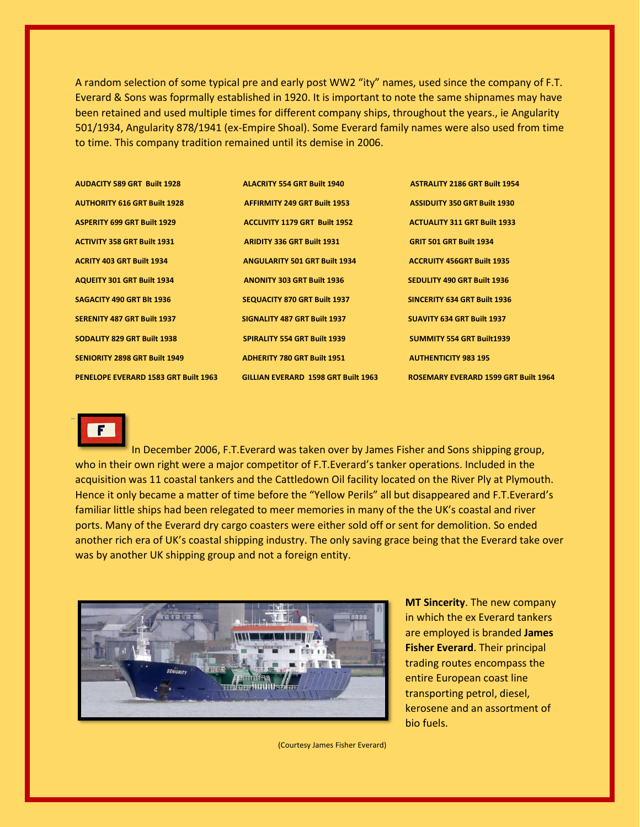A random selection of some typical pre and early post WW2 "ity" names, used since the company of F.T. Everard & Sons was foprmally established in 1920. It is important to note the same shipnames may have been retained and used multiple times for different company ships, throughout the years., ie Angularity 501/1934, Angularity 878/1941 (ex-Empire Shoal). Some Everard family names were also used from time to time. This company tradition remained until its demise in 2006.

| <b>AUDACITY 589 GRT Built 1928</b>   | <b>ALACRITY 554 GRT Built 1940</b>         | <b>ASTRALITY 2186 GRT Built 1954</b>        |
|--------------------------------------|--------------------------------------------|---------------------------------------------|
| <b>AUTHORITY 616 GRT Built 1928</b>  | <b>AFFIRMITY 249 GRT Built 1953</b>        | <b>ASSIDUITY 350 GRT Built 1930</b>         |
| <b>ASPERITY 699 GRT Built 1929</b>   | <b>ACCLIVITY 1179 GRT Built 1952</b>       | <b>ACTUALITY 311 GRT Built 1933</b>         |
| <b>ACTIVITY 358 GRT Built 1931</b>   | <b>ARIDITY 336 GRT Built 1931</b>          | <b>GRIT 501 GRT Built 1934</b>              |
| <b>ACRITY 403 GRT Built 1934</b>     | <b>ANGULARITY 501 GRT Built 1934</b>       | <b>ACCRUITY 456GRT Built 1935</b>           |
| <b>AQUEITY 301 GRT Built 1934</b>    | <b>ANONITY 303 GRT Built 1936</b>          | <b>SEDULITY 490 GRT Built 1936</b>          |
| SAGACITY 490 GRT BIt 1936            | <b>SEQUACITY 870 GRT Built 1937</b>        | <b>SINCERITY 634 GRT Built 1936</b>         |
| <b>SERENITY 487 GRT Built 1937</b>   | SIGNALITY 487 GRT Built 1937               | <b>SUAVITY 634 GRT Built 1937</b>           |
| <b>SODALITY 829 GRT Built 1938</b>   | <b>SPIRALITY 554 GRT Built 1939</b>        | <b>SUMMITY 554 GRT Built1939</b>            |
| <b>SENIORITY 2898 GRT Built 1949</b> | <b>ADHERITY 780 GRT Built 1951</b>         | <b>AUTHENTICITY 983 195</b>                 |
| PENELOPE EVERARD 1583 GRT Built 1963 | <b>GILLIAN EVERARD 1598 GRT Built 1963</b> | <b>ROSEMARY EVERARD 1599 GRT Built 1964</b> |



In December 2006, F.T.Everard was taken over by James Fisher and Sons shipping group, who in their own right were a major competitor of F.T.Everard's tanker operations. Included in the acquisition was 11 coastal tankers and the Cattledown Oil facility located on the River Ply at Plymouth. Hence it only became a matter of time before the "Yellow Perils" all but disappeared and F.T.Everard's familiar little ships had been relegated to meer memories in many of the the UK's coastal and river ports. Many of the Everard dry cargo coasters were either sold off or sent for demolition. So ended another rich era of UK's coastal shipping industry. The only saving grace being that the Everard take over was by another UK shipping group and not a foreign entity.



**MT Sincerity**. The new company in which the ex Everard tankers are employed is branded **James Fisher Everard**. Their principal trading routes encompass the entire European coast line transporting petrol, diesel, kerosene and an assortment of bio fuels.

(Courtesy James Fisher Everard)